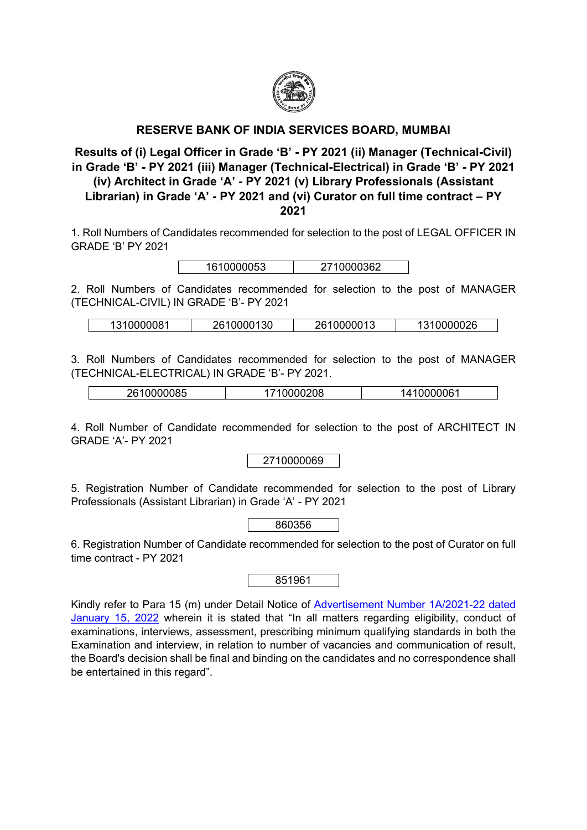

## **RESERVE BANK OF INDIA SERVICES BOARD, MUMBAI**

**Results of (i) Legal Officer in Grade 'B' - PY 2021 (ii) Manager (Technical-Civil) in Grade 'B' - PY 2021 (iii) Manager (Technical-Electrical) in Grade 'B' - PY 2021 (iv) Architect in Grade 'A' - PY 2021 (v) Library Professionals (Assistant Librarian) in Grade 'A' - PY 2021 and (vi) Curator on full time contract – PY 2021**

1. Roll Numbers of Candidates recommended for selection to the post of LEGAL OFFICER IN GRADE 'B' PY 2021

| 1610000053 | 10000362<br>$27^\circ$ |
|------------|------------------------|
|            |                        |

2. Roll Numbers of Candidates recommended for selection to the post of MANAGER (TECHNICAL-CIVIL) IN GRADE 'B'- PY 2021

| 1310000081 | 2610000130 | 2610000013 | 1310000026 |
|------------|------------|------------|------------|
|            |            |            |            |

3. Roll Numbers of Candidates recommended for selection to the post of MANAGER (TECHNICAL-ELECTRICAL) IN GRADE 'B'- PY 2021.

| -----<br>$\sim$ $\sim$ $\sim$<br>. .<br>11K'<br>הונ<br>. .<br>.טט<br>uu<br><u>vu</u> |
|--------------------------------------------------------------------------------------|
|--------------------------------------------------------------------------------------|

4. Roll Number of Candidate recommended for selection to the post of ARCHITECT IN GRADE 'A'- PY 2021

2710000069

5. Registration Number of Candidate recommended for selection to the post of Library Professionals (Assistant Librarian) in Grade 'A' - PY 2021

| 860356 |
|--------|
|        |

6. Registration Number of Candidate recommended for selection to the post of Curator on full time contract - PY 2021

851961

Kindly refer to Para 15 (m) under Detail Notice of [Advertisement Number 1A/2021-22 dated](https://opportunities.rbi.org.in/Scripts/bs_viewcontent.aspx?Id=4077)  [January 15, 2022](https://opportunities.rbi.org.in/Scripts/bs_viewcontent.aspx?Id=4077) wherein it is stated that "In all matters regarding eligibility, conduct of examinations, interviews, assessment, prescribing minimum qualifying standards in both the Examination and interview, in relation to number of vacancies and communication of result, the Board's decision shall be final and binding on the candidates and no correspondence shall be entertained in this regard".